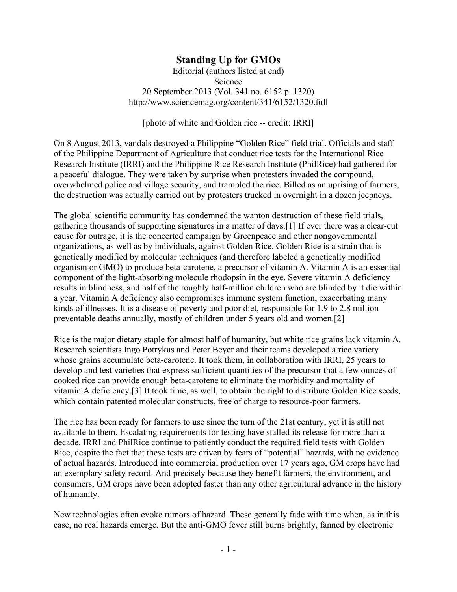## **Standing Up for GMOs**

Editorial (authors listed at end) Science 20 September 2013 (Vol. 341 no. 6152 p. 1320) http://www.sciencemag.org/content/341/6152/1320.full

[photo of white and Golden rice -- credit: IRRI]

On 8 August 2013, vandals destroyed a Philippine "Golden Rice" field trial. Officials and staff of the Philippine Department of Agriculture that conduct rice tests for the International Rice Research Institute (IRRI) and the Philippine Rice Research Institute (PhilRice) had gathered for a peaceful dialogue. They were taken by surprise when protesters invaded the compound, overwhelmed police and village security, and trampled the rice. Billed as an uprising of farmers, the destruction was actually carried out by protesters trucked in overnight in a dozen jeepneys.

The global scientific community has condemned the wanton destruction of these field trials, gathering thousands of supporting signatures in a matter of days.[1] If ever there was a clear-cut cause for outrage, it is the concerted campaign by Greenpeace and other nongovernmental organizations, as well as by individuals, against Golden Rice. Golden Rice is a strain that is genetically modified by molecular techniques (and therefore labeled a genetically modified organism or GMO) to produce beta-carotene, a precursor of vitamin A. Vitamin A is an essential component of the light-absorbing molecule rhodopsin in the eye. Severe vitamin A deficiency results in blindness, and half of the roughly half-million children who are blinded by it die within a year. Vitamin A deficiency also compromises immune system function, exacerbating many kinds of illnesses. It is a disease of poverty and poor diet, responsible for 1.9 to 2.8 million preventable deaths annually, mostly of children under 5 years old and women.[2]

Rice is the major dietary staple for almost half of humanity, but white rice grains lack vitamin A. Research scientists Ingo Potrykus and Peter Beyer and their teams developed a rice variety whose grains accumulate beta-carotene. It took them, in collaboration with IRRI, 25 years to develop and test varieties that express sufficient quantities of the precursor that a few ounces of cooked rice can provide enough beta-carotene to eliminate the morbidity and mortality of vitamin A deficiency.[3] It took time, as well, to obtain the right to distribute Golden Rice seeds, which contain patented molecular constructs, free of charge to resource-poor farmers.

The rice has been ready for farmers to use since the turn of the 21st century, yet it is still not available to them. Escalating requirements for testing have stalled its release for more than a decade. IRRI and PhilRice continue to patiently conduct the required field tests with Golden Rice, despite the fact that these tests are driven by fears of "potential" hazards, with no evidence of actual hazards. Introduced into commercial production over 17 years ago, GM crops have had an exemplary safety record. And precisely because they benefit farmers, the environment, and consumers, GM crops have been adopted faster than any other agricultural advance in the history of humanity.

New technologies often evoke rumors of hazard. These generally fade with time when, as in this case, no real hazards emerge. But the anti-GMO fever still burns brightly, fanned by electronic